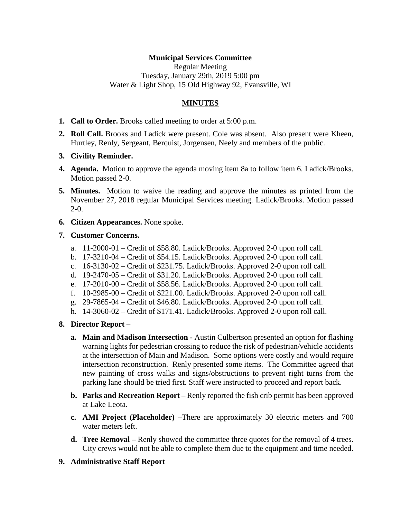# **Municipal Services Committee**

Regular Meeting Tuesday, January 29th, 2019 5:00 pm Water & Light Shop, 15 Old Highway 92, Evansville, WI

# **MINUTES**

- **1. Call to Order.** Brooks called meeting to order at 5:00 p.m.
- **2. Roll Call.** Brooks and Ladick were present. Cole was absent. Also present were Kheen, Hurtley, Renly, Sergeant, Berquist, Jorgensen, Neely and members of the public.
- **3. Civility Reminder.**
- **4. Agenda.** Motion to approve the agenda moving item 8a to follow item 6. Ladick/Brooks. Motion passed 2-0.
- **5. Minutes.** Motion to waive the reading and approve the minutes as printed from the November 27, 2018 regular Municipal Services meeting. Ladick/Brooks. Motion passed 2-0.
- **6. Citizen Appearances.** None spoke.

### **7. Customer Concerns.**

- a. 11-2000-01 Credit of \$58.80. Ladick/Brooks. Approved 2-0 upon roll call.
- b. 17-3210-04 Credit of \$54.15. Ladick/Brooks. Approved 2-0 upon roll call.
- c. 16-3130-02 Credit of \$231.75. Ladick/Brooks. Approved 2-0 upon roll call.
- d. 19-2470-05 Credit of \$31.20. Ladick/Brooks. Approved 2-0 upon roll call.
- e. 17-2010-00 Credit of \$58.56. Ladick/Brooks. Approved 2-0 upon roll call.
- f. 10-2985-00 Credit of \$221.00. Ladick/Brooks. Approved 2-0 upon roll call.
- g. 29-7865-04 Credit of \$46.80. Ladick/Brooks. Approved 2-0 upon roll call.
- h. 14-3060-02 Credit of \$171.41. Ladick/Brooks. Approved 2-0 upon roll call.
- **8. Director Report**
	- **a. Main and Madison Intersection -** Austin Culbertson presented an option for flashing warning lights for pedestrian crossing to reduce the risk of pedestrian/vehicle accidents at the intersection of Main and Madison. Some options were costly and would require intersection reconstruction. Renly presented some items. The Committee agreed that new painting of cross walks and signs/obstructions to prevent right turns from the parking lane should be tried first. Staff were instructed to proceed and report back.
	- **b. Parks and Recreation Report** Renly reported the fish crib permit has been approved at Lake Leota.
	- **c. AMI Project (Placeholder) –**There are approximately 30 electric meters and 700 water meters left.
	- **d. Tree Removal –** Renly showed the committee three quotes for the removal of 4 trees. City crews would not be able to complete them due to the equipment and time needed.
- **9. Administrative Staff Report**